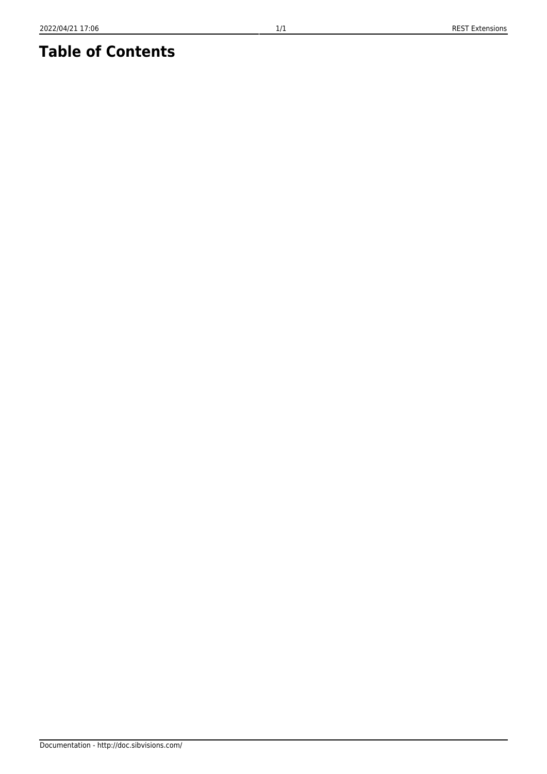## **Table of Contents**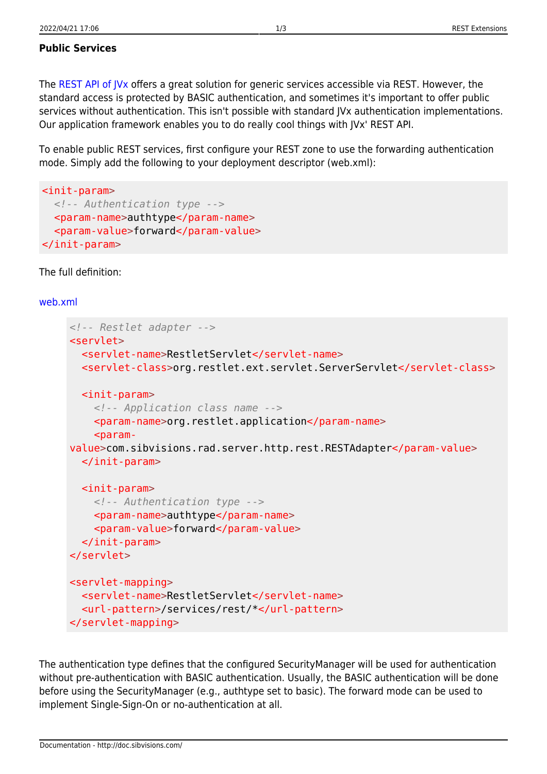## **Public Services**

The [REST API of JVx](http://doc.sibvisions.com/jvx/common/util/rest) offers a great solution for generic services accessible via REST. However, the standard access is protected by BASIC authentication, and sometimes it's important to offer public services without authentication. This isn't possible with standard JVx authentication implementations. Our application framework enables you to do really cool things with JVx' REST API.

To enable public REST services, first configure your REST zone to use the forwarding authentication mode. Simply add the following to your deployment descriptor (web.xml):

```
<init-param>
   <!-- Authentication type -->
   <param-name>authtype</param-name>
   <param-value>forward</param-value>
</init-param>
```
The full definition:

## [web.xml](http://doc.sibvisions.com/_export/code/applications/rest_extensions?codeblock=1)

```
<!-- Restlet adapter -->
<servlet>
   <servlet-name>RestletServlet</servlet-name>
  <servlet-class>org.restlet.ext.servlet.ServerServlet</servlet-class>
   <init-param>
     <!-- Application class name -->
    <param-name>org.restlet.application</param-name>
    <param-value>com.sibvisions.rad.server.http.rest.RESTAdapter</param-value>
   </init-param>
   <init-param>
     <!-- Authentication type -->
     <param-name>authtype</param-name>
     <param-value>forward</param-value>
  \le/init-param>
</servlet>
<servlet-mapping>
   <servlet-name>RestletServlet</servlet-name>
   <url-pattern>/services/rest/*</url-pattern>
</servlet-mapping>
```
The authentication type defines that the configured SecurityManager will be used for authentication without pre-authentication with BASIC authentication. Usually, the BASIC authentication will be done before using the SecurityManager (e.g., authtype set to basic). The forward mode can be used to implement Single-Sign-On or no-authentication at all.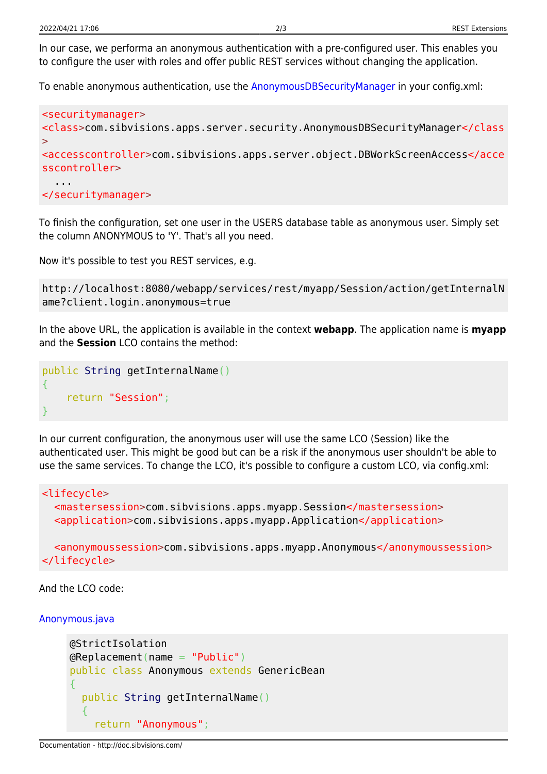In our case, we performa an anonymous authentication with a pre-configured user. This enables you to configure the user with roles and offer public REST services without changing the application.

To enable anonymous authentication, use the [AnonymousDBSecurityManager](http://doc.sibvisions.com/applications/anonymous_connection) in your config.xml:

```
<securitymanager>
<class>com.sibvisions.apps.server.security.AnonymousDBSecurityManager</class
>
<accesscontroller>com.sibvisions.apps.server.object.DBWorkScreenAccess</acce
sscontroller>
 ...
</securitymanager>
```
To finish the configuration, set one user in the USERS database table as anonymous user. Simply set the column ANONYMOUS to 'Y'. That's all you need.

Now it's possible to test you REST services, e.g.

```
http://localhost:8080/webapp/services/rest/myapp/Session/action/getInternalN
ame?client.login.anonymous=true
```
In the above URL, the application is available in the context **webapp**. The application name is **myapp** and the **Session** LCO contains the method:

```
public String getInternalName()
{
     return "Session";
}
```
In our current configuration, the anonymous user will use the same LCO (Session) like the authenticated user. This might be good but can be a risk if the anonymous user shouldn't be able to use the same services. To change the LCO, it's possible to configure a custom LCO, via config.xml:

```
<lifecycle>
   <mastersession>com.sibvisions.apps.myapp.Session</mastersession>
   <application>com.sibvisions.apps.myapp.Application</application>
   <anonymoussession>com.sibvisions.apps.myapp.Anonymous</anonymoussession>
```
</lifecycle>

And the LCO code:

[Anonymous.java](http://doc.sibvisions.com/_export/code/applications/rest_extensions?codeblock=6)

```
@StrictIsolation
@Replacement(name = "Public")
public class Anonymous extends GenericBean
{
   public String getInternalName()
   {
     return "Anonymous";
```